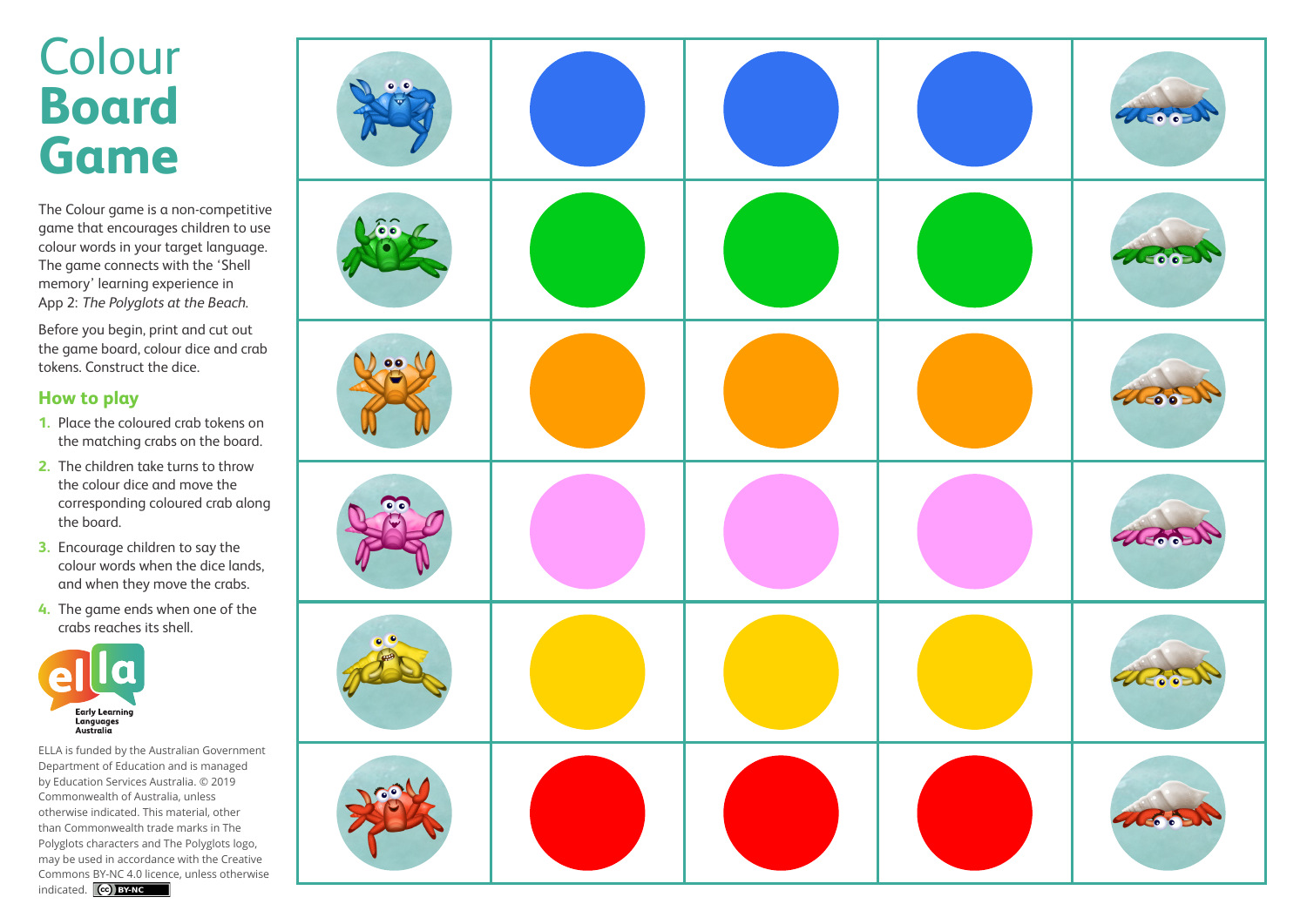## Colour **Board Game**

The Colour game is a non-competitive game that encourages children to use colour words in your target language. The game connects with the 'Shell memory' learning experience in App 2: The Polyglots at the Beach.

Before you begin, print and cut out the game board, colour dice and crab tokens. Construct the dice.

## **How to play**

- **1.** Place the coloured crab tokens on the matching crabs on the board.
- **2.** The children take turns to throw the colour dice and move the corresponding coloured crab along the board.
- **3.** Encourage children to say the colour words when the dice lands, and when they move the crabs.
- **4.** The game ends when one of the crabs reaches its shell.



ELLA is funded by the Australian Government Department of Education and is managed by Education Services Australia. © 2019 Commonwealth of Australia, unless otherwise indicated. This material, other than Commonwealth trade marks in The Polyglots characters and The Polyglots logo, may be used in accordance with the Creative Commons BY-NC 4.0 licence, unless otherwise indicated. **CC**) BY NC

| $\bullet$ $\bullet$ |  | desist |
|---------------------|--|--------|
| LEE                 |  | 46651  |
| 99                  |  | TOOR   |
| $\bullet$           |  | 40000  |
| $\bullet$           |  | THEODO |
| Deal                |  | Hood   |